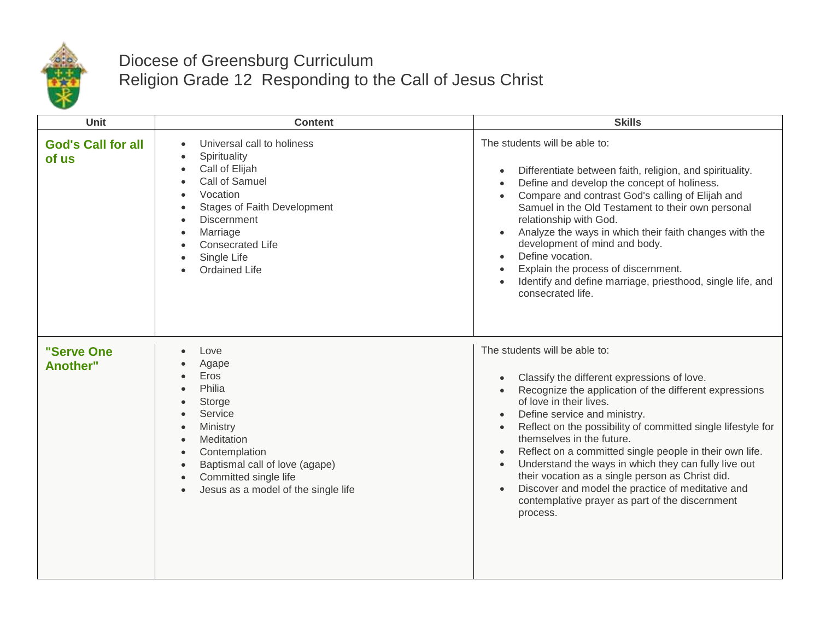

## Diocese of Greensburg Curriculum Religion Grade 12 Responding to the Call of Jesus Christ

| Unit                               | <b>Content</b>                                                                                                                                                                                                                                                                                                                  | <b>Skills</b>                                                                                                                                                                                                                                                                                                                                                                                                                                                                                                                                                                                                                                                           |
|------------------------------------|---------------------------------------------------------------------------------------------------------------------------------------------------------------------------------------------------------------------------------------------------------------------------------------------------------------------------------|-------------------------------------------------------------------------------------------------------------------------------------------------------------------------------------------------------------------------------------------------------------------------------------------------------------------------------------------------------------------------------------------------------------------------------------------------------------------------------------------------------------------------------------------------------------------------------------------------------------------------------------------------------------------------|
| <b>God's Call for all</b><br>of us | Universal call to holiness<br>$\bullet$<br>Spirituality<br>$\bullet$<br>Call of Elijah<br>$\bullet$<br>Call of Samuel<br>$\bullet$<br>Vocation<br>$\bullet$<br><b>Stages of Faith Development</b><br><b>Discernment</b><br>$\bullet$<br>Marriage<br>$\bullet$<br><b>Consecrated Life</b><br>Single Life<br><b>Ordained Life</b> | The students will be able to:<br>Differentiate between faith, religion, and spirituality.<br>$\bullet$<br>Define and develop the concept of holiness.<br>$\bullet$<br>Compare and contrast God's calling of Elijah and<br>$\bullet$<br>Samuel in the Old Testament to their own personal<br>relationship with God.<br>Analyze the ways in which their faith changes with the<br>$\bullet$<br>development of mind and body.<br>Define vocation.<br>$\bullet$<br>Explain the process of discernment.<br>Identify and define marriage, priesthood, single life, and<br>consecrated life.                                                                                   |
| "Serve One<br>Another"             | Love<br>Agape<br>Eros<br>Philia<br>$\bullet$<br>Storge<br>Service<br>Ministry<br>$\bullet$<br>Meditation<br>$\bullet$<br>Contemplation<br>$\bullet$<br>Baptismal call of love (agape)<br>$\bullet$<br>Committed single life<br>$\bullet$<br>Jesus as a model of the single life<br>$\bullet$                                    | The students will be able to:<br>Classify the different expressions of love.<br>$\bullet$<br>Recognize the application of the different expressions<br>$\bullet$<br>of love in their lives.<br>Define service and ministry.<br>$\bullet$<br>Reflect on the possibility of committed single lifestyle for<br>$\bullet$<br>themselves in the future.<br>Reflect on a committed single people in their own life.<br>$\bullet$<br>Understand the ways in which they can fully live out<br>$\bullet$<br>their vocation as a single person as Christ did.<br>Discover and model the practice of meditative and<br>contemplative prayer as part of the discernment<br>process. |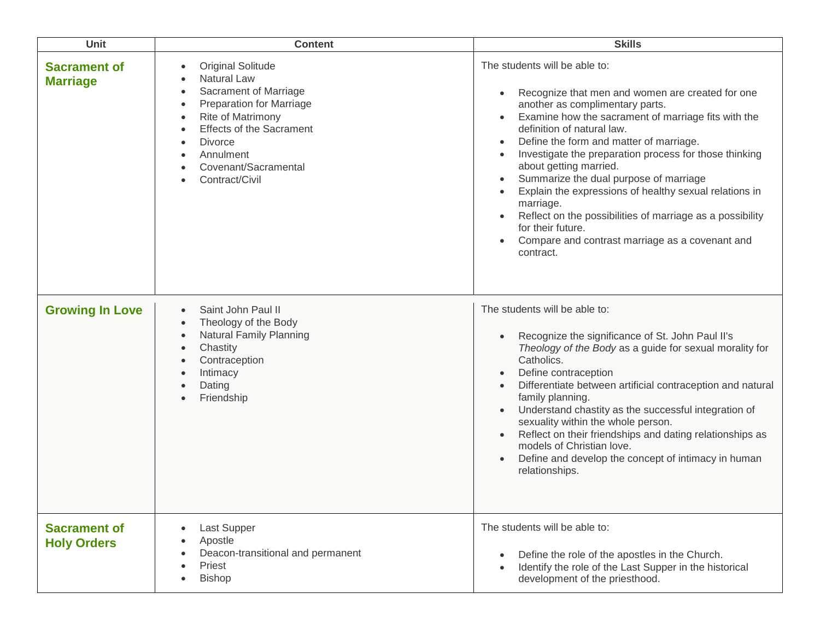| <b>Unit</b>                               | <b>Content</b>                                                                                                                                                                                                                                                 | <b>Skills</b>                                                                                                                                                                                                                                                                                                                                                                                                                                                                                                                                                                                                                                                   |
|-------------------------------------------|----------------------------------------------------------------------------------------------------------------------------------------------------------------------------------------------------------------------------------------------------------------|-----------------------------------------------------------------------------------------------------------------------------------------------------------------------------------------------------------------------------------------------------------------------------------------------------------------------------------------------------------------------------------------------------------------------------------------------------------------------------------------------------------------------------------------------------------------------------------------------------------------------------------------------------------------|
| <b>Sacrament of</b><br><b>Marriage</b>    | <b>Original Solitude</b><br>$\bullet$<br>Natural Law<br>Sacrament of Marriage<br><b>Preparation for Marriage</b><br>Rite of Matrimony<br><b>Effects of the Sacrament</b><br><b>Divorce</b><br>$\bullet$<br>Annulment<br>Covenant/Sacramental<br>Contract/Civil | The students will be able to:<br>Recognize that men and women are created for one<br>$\bullet$<br>another as complimentary parts.<br>Examine how the sacrament of marriage fits with the<br>$\bullet$<br>definition of natural law.<br>Define the form and matter of marriage.<br>Investigate the preparation process for those thinking<br>$\bullet$<br>about getting married.<br>Summarize the dual purpose of marriage<br>$\bullet$<br>Explain the expressions of healthy sexual relations in<br>marriage.<br>Reflect on the possibilities of marriage as a possibility<br>for their future.<br>Compare and contrast marriage as a covenant and<br>contract. |
| <b>Growing In Love</b>                    | Saint John Paul II<br>$\bullet$<br>Theology of the Body<br>$\bullet$<br>Natural Family Planning<br>$\bullet$<br>Chastity<br>Contraception<br>Intimacy<br>Dating<br>Friendship                                                                                  | The students will be able to:<br>Recognize the significance of St. John Paul II's<br>Theology of the Body as a guide for sexual morality for<br>Catholics.<br>Define contraception<br>$\bullet$<br>Differentiate between artificial contraception and natural<br>$\bullet$<br>family planning.<br>Understand chastity as the successful integration of<br>$\bullet$<br>sexuality within the whole person.<br>Reflect on their friendships and dating relationships as<br>$\bullet$<br>models of Christian love.<br>Define and develop the concept of intimacy in human<br>$\bullet$<br>relationships.                                                           |
| <b>Sacrament of</b><br><b>Holy Orders</b> | Last Supper<br>Apostle<br>Deacon-transitional and permanent<br>Priest<br>$\bullet$<br><b>Bishop</b>                                                                                                                                                            | The students will be able to:<br>Define the role of the apostles in the Church.<br>Identify the role of the Last Supper in the historical<br>development of the priesthood.                                                                                                                                                                                                                                                                                                                                                                                                                                                                                     |